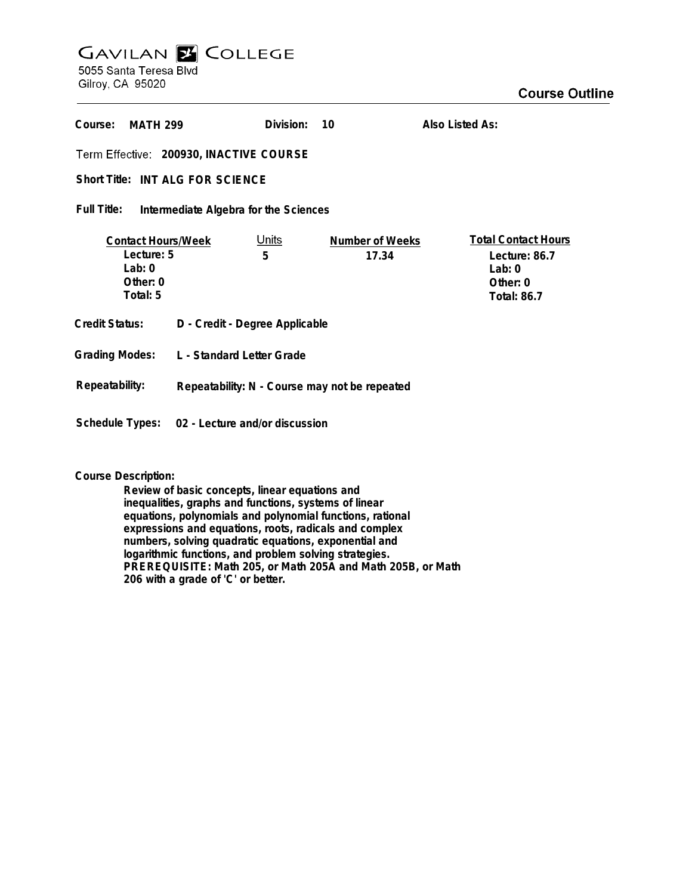## **GAVILAN Z COLLEGE** 5055 Santa Teresa Blvd

Gilroy, CA 95020

| Course:<br><b>MATH 299</b>                                                  |                                               | Division:         | 10                       | Also Listed As:                                                                             |
|-----------------------------------------------------------------------------|-----------------------------------------------|-------------------|--------------------------|---------------------------------------------------------------------------------------------|
| Term Effective: 200930, INACTIVE COURSE                                     |                                               |                   |                          |                                                                                             |
| Short Title: INT ALG FOR SCIENCE                                            |                                               |                   |                          |                                                                                             |
| Full Title:<br>Intermediate Algebra for the Sciences                        |                                               |                   |                          |                                                                                             |
| <b>Contact Hours/Week</b><br>Lecture: 5<br>Lab: $0$<br>Other: 0<br>Total: 5 |                                               | <u>Units</u><br>5 | Number of Weeks<br>17.34 | <b>Total Contact Hours</b><br>Lecture: 86.7<br>Lab: $0$<br>Other: $0$<br><b>Total: 86.7</b> |
| Credit Status:                                                              | D - Credit - Degree Applicable                |                   |                          |                                                                                             |
| <b>Grading Modes:</b>                                                       | L - Standard Letter Grade                     |                   |                          |                                                                                             |
| Repeatability:                                                              | Repeatability: N - Course may not be repeated |                   |                          |                                                                                             |
| Schedule Types: 02 - Lecture and/or discussion                              |                                               |                   |                          |                                                                                             |

**Course Description:**

**Review of basic concepts, linear equations and inequalities, graphs and functions, systems of linear equations, polynomials and polynomial functions, rational expressions and equations, roots, radicals and complex numbers, solving quadratic equations, exponential and logarithmic functions, and problem solving strategies. PREREQUISITE: Math 205, or Math 205A and Math 205B, or Math 206 with a grade of 'C' or better.**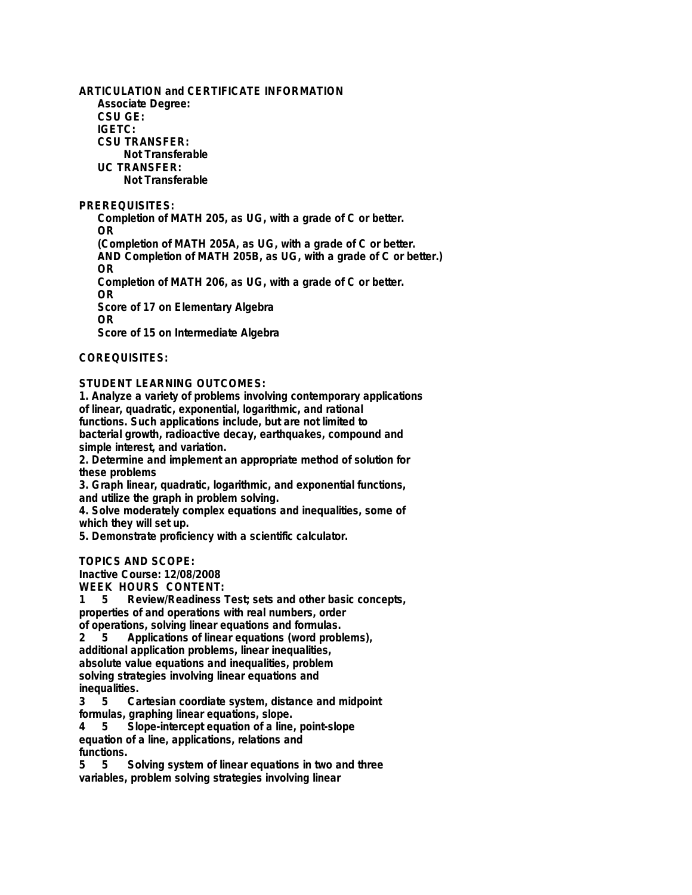**ARTICULATION and CERTIFICATE INFORMATION Associate Degree: CSU GE: IGETC: CSU TRANSFER: Not Transferable UC TRANSFER: Not Transferable**

**PREREQUISITES:**

**Completion of MATH 205, as UG, with a grade of C or better. OR (Completion of MATH 205A, as UG, with a grade of C or better. AND Completion of MATH 205B, as UG, with a grade of C or better.) OR Completion of MATH 206, as UG, with a grade of C or better. OR Score of 17 on Elementary Algebra OR**

**Score of 15 on Intermediate Algebra**

**COREQUISITES:**

**STUDENT LEARNING OUTCOMES:**

**1. Analyze a variety of problems involving contemporary applications of linear, quadratic, exponential, logarithmic, and rational functions. Such applications include, but are not limited to bacterial growth, radioactive decay, earthquakes, compound and simple interest, and variation.**

**2. Determine and implement an appropriate method of solution for these problems**

**3. Graph linear, quadratic, logarithmic, and exponential functions, and utilize the graph in problem solving.**

**4. Solve moderately complex equations and inequalities, some of which they will set up.**

**5. Demonstrate proficiency with a scientific calculator.**

**TOPICS AND SCOPE:**

**Inactive Course: 12/08/2008**

**WEEK HOURS CONTENT:**

**1 5 Review/Readiness Test; sets and other basic concepts, properties of and operations with real numbers, order of operations, solving linear equations and formulas.**

**2 5 Applications of linear equations (word problems), additional application problems, linear inequalities, absolute value equations and inequalities, problem solving strategies involving linear equations and**

**inequalities. 3 5 Cartesian coordiate system, distance and midpoint formulas, graphing linear equations, slope.**

**4 5 Slope-intercept equation of a line, point-slope equation of a line, applications, relations and** functions.<br>5 5 5

**5 5 Solving system of linear equations in two and three variables, problem solving strategies involving linear**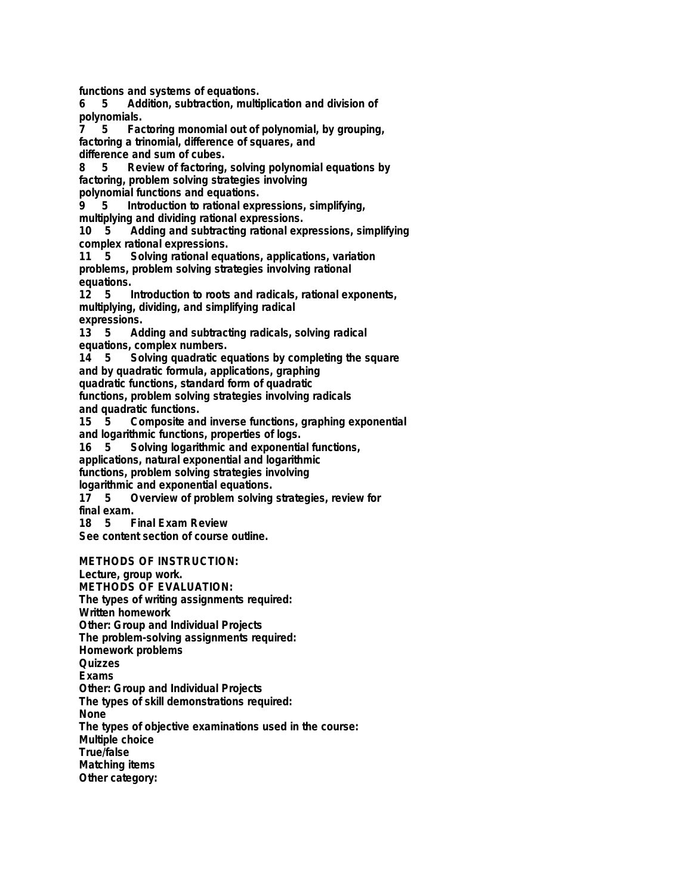**functions and systems of equations.**

**6 5 Addition, subtraction, multiplication and division of polynomials.**

**7 5 Factoring monomial out of polynomial, by grouping, factoring a trinomial, difference of squares, and**

**difference and sum of cubes.**

**8 5 Review of factoring, solving polynomial equations by factoring, problem solving strategies involving polynomial functions and equations.**

**9 5 Introduction to rational expressions, simplifying,**

**multiplying and dividing rational expressions.**

**10 5 Adding and subtracting rational expressions, simplifying complex rational expressions.**

**11 5 Solving rational equations, applications, variation problems, problem solving strategies involving rational equations.**

**12 5 Introduction to roots and radicals, rational exponents, multiplying, dividing, and simplifying radical expressions.**

**13 5 Adding and subtracting radicals, solving radical equations, complex numbers.**

**14 5 Solving quadratic equations by completing the square and by quadratic formula, applications, graphing**

**quadratic functions, standard form of quadratic**

**functions, problem solving strategies involving radicals and quadratic functions.**

**15 5 Composite and inverse functions, graphing exponential and logarithmic functions, properties of logs.**

**16 5 Solving logarithmic and exponential functions,**

**applications, natural exponential and logarithmic**

**functions, problem solving strategies involving**

**logarithmic and exponential equations.**

**17 5 Overview of problem solving strategies, review for final exam.**

**Final Exam Review** 

**See content section of course outline.**

**METHODS OF INSTRUCTION:**

**Lecture, group work. METHODS OF EVALUATION: The types of writing assignments required: Written homework Other: Group and Individual Projects The problem-solving assignments required: Homework problems Quizzes Exams Other: Group and Individual Projects The types of skill demonstrations required: None The types of objective examinations used in the course: Multiple choice True/false Matching items Other category:**